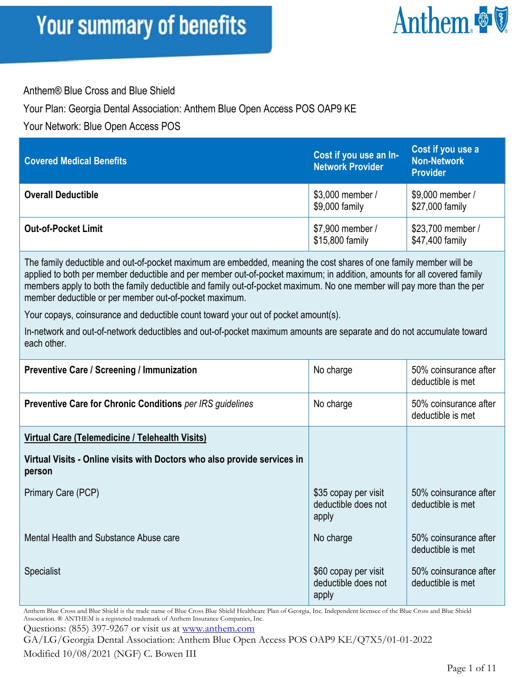### **Your summary of benefits**

## Anthem &

### Anthem® Blue Cross and Blue Shield

### Your Plan: Georgia Dental Association: Anthem Blue Open Access POS OAP9 KE

Your Network: Blue Open Access POS

| <b>Covered Medical Benefits</b> | Cost if you use an In-<br><b>Network Provider</b> | Cost if you use a<br><b>Non-Network</b><br><b>Provider</b> |
|---------------------------------|---------------------------------------------------|------------------------------------------------------------|
| <b>Overall Deductible</b>       | \$3,000 member /<br>\$9,000 family                | \$9,000 member /<br>\$27,000 family                        |
| <b>Out-of-Pocket Limit</b>      | \$7,900 member /<br>\$15,800 family               | \$23,700 member /<br>\$47,400 family                       |

The family deductible and out-of-pocket maximum are embedded, meaning the cost shares of one family member will be applied to both per member deductible and per member out-of-pocket maximum; in addition, amounts for all covered family members apply to both the family deductible and family out-of-pocket maximum. No one member will pay more than the per member deductible or per member out-of-pocket maximum.

Your copays, coinsurance and deductible count toward your out of pocket amount(s).

In-network and out-of-network deductibles and out-of-pocket maximum amounts are separate and do not accumulate toward each other.

| Preventive Care / Screening / Immunization                                         | No charge                                            | 50% coinsurance after<br>deductible is met |
|------------------------------------------------------------------------------------|------------------------------------------------------|--------------------------------------------|
| <b>Preventive Care for Chronic Conditions</b> per IRS guidelines                   | No charge                                            | 50% coinsurance after<br>deductible is met |
| Virtual Care (Telemedicine / Telehealth Visits)                                    |                                                      |                                            |
| Virtual Visits - Online visits with Doctors who also provide services in<br>person |                                                      |                                            |
| Primary Care (PCP)                                                                 | \$35 copay per visit<br>deductible does not<br>apply | 50% coinsurance after<br>deductible is met |
| Mental Health and Substance Abuse care                                             | No charge                                            | 50% coinsurance after<br>deductible is met |
| Specialist                                                                         | \$60 copay per visit<br>deductible does not<br>apply | 50% coinsurance after<br>deductible is met |

Anthem Blue Cross and Blue Shield is the trade name of Blue Cross Blue Shield Healthcare Plan of Georgia, Inc. Independent licensee of the Blue Cross and Blue Shield Association. ® ANTHEM is a registered trademark of Anthem Insurance Companies, Inc.

Questions: (855) 397-9267 or visit us at [www.anthem.com](http://www.bcbsga.com/)

GA/LG/Georgia Dental Association: Anthem Blue Open Access POS OAP9 KE/Q7X5/01-01-2022

Modified 10/08/2021 (NGF) C. Bowen III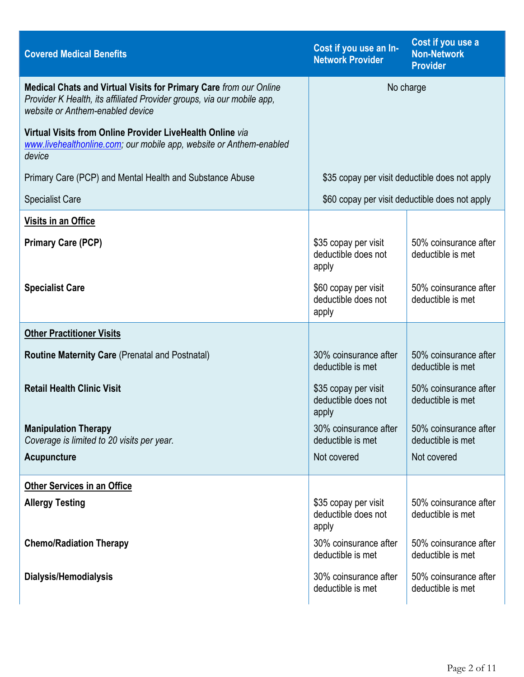| <b>Covered Medical Benefits</b>                                                                                                                                                        | Cost if you use an In-<br><b>Network Provider</b>    | Cost if you use a<br><b>Non-Network</b><br><b>Provider</b> |
|----------------------------------------------------------------------------------------------------------------------------------------------------------------------------------------|------------------------------------------------------|------------------------------------------------------------|
| <b>Medical Chats and Virtual Visits for Primary Care from our Online</b><br>Provider K Health, its affiliated Provider groups, via our mobile app,<br>website or Anthem-enabled device |                                                      | No charge                                                  |
| Virtual Visits from Online Provider LiveHealth Online via<br>www.livehealthonline.com; our mobile app, website or Anthem-enabled<br>device                                             |                                                      |                                                            |
| Primary Care (PCP) and Mental Health and Substance Abuse                                                                                                                               | \$35 copay per visit deductible does not apply       |                                                            |
| <b>Specialist Care</b>                                                                                                                                                                 | \$60 copay per visit deductible does not apply       |                                                            |
| <b>Visits in an Office</b>                                                                                                                                                             |                                                      |                                                            |
| <b>Primary Care (PCP)</b>                                                                                                                                                              | \$35 copay per visit<br>deductible does not<br>apply | 50% coinsurance after<br>deductible is met                 |
| <b>Specialist Care</b>                                                                                                                                                                 | \$60 copay per visit<br>deductible does not<br>apply | 50% coinsurance after<br>deductible is met                 |
| <b>Other Practitioner Visits</b>                                                                                                                                                       |                                                      |                                                            |
| <b>Routine Maternity Care (Prenatal and Postnatal)</b>                                                                                                                                 | 30% coinsurance after<br>deductible is met           | 50% coinsurance after<br>deductible is met                 |
| <b>Retail Health Clinic Visit</b>                                                                                                                                                      | \$35 copay per visit<br>deductible does not<br>apply | 50% coinsurance after<br>deductible is met                 |
| <b>Manipulation Therapy</b><br>Coverage is limited to 20 visits per year.                                                                                                              | 30% coinsurance after<br>deductible is met           | 50% coinsurance after<br>deductible is met                 |
| Acupuncture                                                                                                                                                                            | Not covered                                          | Not covered                                                |
| <b>Other Services in an Office</b>                                                                                                                                                     |                                                      |                                                            |
| <b>Allergy Testing</b>                                                                                                                                                                 | \$35 copay per visit<br>deductible does not<br>apply | 50% coinsurance after<br>deductible is met                 |
| <b>Chemo/Radiation Therapy</b>                                                                                                                                                         | 30% coinsurance after<br>deductible is met           | 50% coinsurance after<br>deductible is met                 |
| Dialysis/Hemodialysis                                                                                                                                                                  | 30% coinsurance after<br>deductible is met           | 50% coinsurance after<br>deductible is met                 |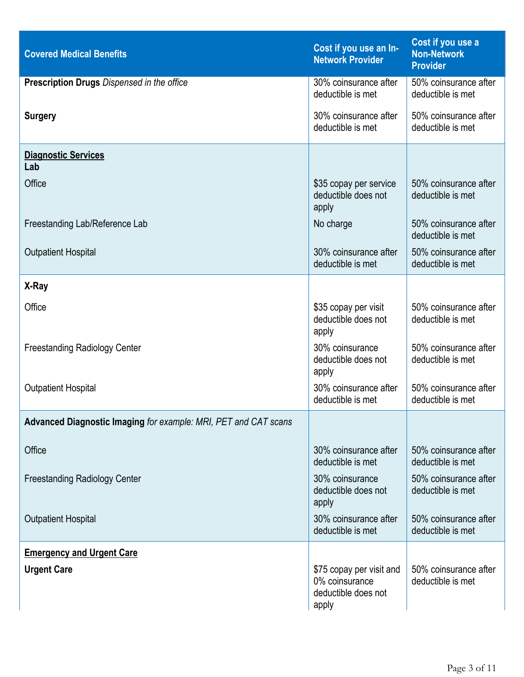| <b>Covered Medical Benefits</b>                                 | Cost if you use an In-<br><b>Network Provider</b>                          | Cost if you use a<br><b>Non-Network</b><br><b>Provider</b> |
|-----------------------------------------------------------------|----------------------------------------------------------------------------|------------------------------------------------------------|
| Prescription Drugs Dispensed in the office                      | 30% coinsurance after<br>deductible is met                                 | 50% coinsurance after<br>deductible is met                 |
| <b>Surgery</b>                                                  | 30% coinsurance after<br>deductible is met                                 | 50% coinsurance after<br>deductible is met                 |
| <b>Diagnostic Services</b><br>Lab                               |                                                                            |                                                            |
| Office                                                          | \$35 copay per service<br>deductible does not<br>apply                     | 50% coinsurance after<br>deductible is met                 |
| Freestanding Lab/Reference Lab                                  | No charge                                                                  | 50% coinsurance after<br>deductible is met                 |
| <b>Outpatient Hospital</b>                                      | 30% coinsurance after<br>deductible is met                                 | 50% coinsurance after<br>deductible is met                 |
| X-Ray                                                           |                                                                            |                                                            |
| Office                                                          | \$35 copay per visit<br>deductible does not<br>apply                       | 50% coinsurance after<br>deductible is met                 |
| <b>Freestanding Radiology Center</b>                            | 30% coinsurance<br>deductible does not<br>apply                            | 50% coinsurance after<br>deductible is met                 |
| <b>Outpatient Hospital</b>                                      | 30% coinsurance after<br>deductible is met                                 | 50% coinsurance after<br>deductible is met                 |
| Advanced Diagnostic Imaging for example: MRI, PET and CAT scans |                                                                            |                                                            |
| Office                                                          | 30% coinsurance after<br>deductible is met                                 | 50% coinsurance after<br>deductible is met                 |
| <b>Freestanding Radiology Center</b>                            | 30% coinsurance<br>deductible does not<br>apply                            | 50% coinsurance after<br>deductible is met                 |
| <b>Outpatient Hospital</b>                                      | 30% coinsurance after<br>deductible is met                                 | 50% coinsurance after<br>deductible is met                 |
| <b>Emergency and Urgent Care</b>                                |                                                                            |                                                            |
| <b>Urgent Care</b>                                              | \$75 copay per visit and<br>0% coinsurance<br>deductible does not<br>apply | 50% coinsurance after<br>deductible is met                 |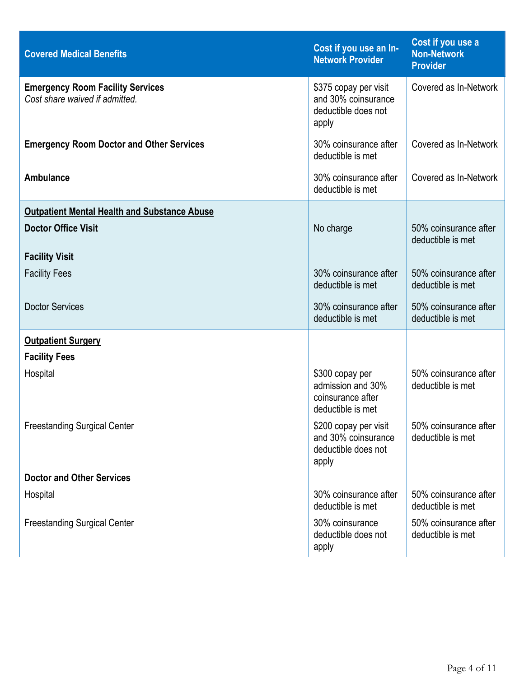| <b>Covered Medical Benefits</b>                                           | Cost if you use an In-<br><b>Network Provider</b>                              | Cost if you use a<br><b>Non-Network</b><br><b>Provider</b> |
|---------------------------------------------------------------------------|--------------------------------------------------------------------------------|------------------------------------------------------------|
| <b>Emergency Room Facility Services</b><br>Cost share waived if admitted. | \$375 copay per visit<br>and 30% coinsurance<br>deductible does not<br>apply   | Covered as In-Network                                      |
| <b>Emergency Room Doctor and Other Services</b>                           | 30% coinsurance after<br>deductible is met                                     | Covered as In-Network                                      |
| Ambulance                                                                 | 30% coinsurance after<br>deductible is met                                     | Covered as In-Network                                      |
| <b>Outpatient Mental Health and Substance Abuse</b>                       |                                                                                |                                                            |
| <b>Doctor Office Visit</b>                                                | No charge                                                                      | 50% coinsurance after<br>deductible is met                 |
| <b>Facility Visit</b>                                                     |                                                                                |                                                            |
| <b>Facility Fees</b>                                                      | 30% coinsurance after<br>deductible is met                                     | 50% coinsurance after<br>deductible is met                 |
| <b>Doctor Services</b>                                                    | 30% coinsurance after<br>deductible is met                                     | 50% coinsurance after<br>deductible is met                 |
| <b>Outpatient Surgery</b>                                                 |                                                                                |                                                            |
| <b>Facility Fees</b>                                                      |                                                                                |                                                            |
| Hospital                                                                  | \$300 copay per<br>admission and 30%<br>coinsurance after<br>deductible is met | 50% coinsurance after<br>deductible is met                 |
| <b>Freestanding Surgical Center</b>                                       | \$200 copay per visit<br>and 30% coinsurance<br>deductible does not<br>apply   | 50% coinsurance after<br>deductible is met                 |
| <b>Doctor and Other Services</b>                                          |                                                                                |                                                            |
| Hospital                                                                  | 30% coinsurance after<br>deductible is met                                     | 50% coinsurance after<br>deductible is met                 |
| <b>Freestanding Surgical Center</b>                                       | 30% coinsurance<br>deductible does not<br>apply                                | 50% coinsurance after<br>deductible is met                 |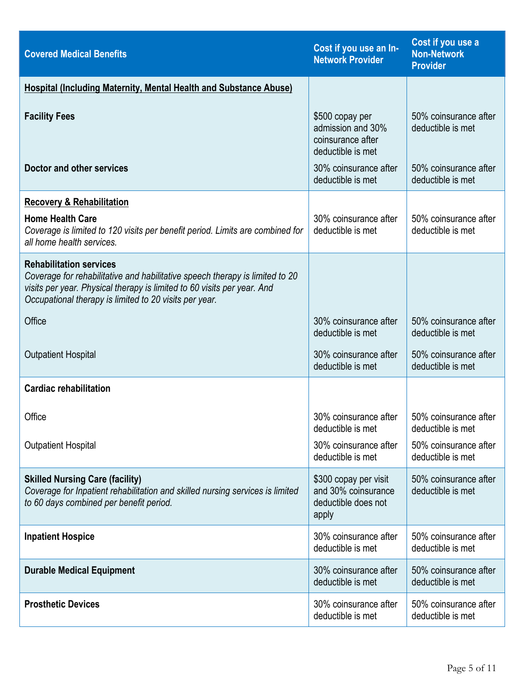| <b>Covered Medical Benefits</b>                                                                                                                                                                                                                     | Cost if you use an In-<br><b>Network Provider</b>                              | Cost if you use a<br><b>Non-Network</b><br><b>Provider</b> |
|-----------------------------------------------------------------------------------------------------------------------------------------------------------------------------------------------------------------------------------------------------|--------------------------------------------------------------------------------|------------------------------------------------------------|
| Hospital (Including Maternity, Mental Health and Substance Abuse)                                                                                                                                                                                   |                                                                                |                                                            |
| <b>Facility Fees</b>                                                                                                                                                                                                                                | \$500 copay per<br>admission and 30%<br>coinsurance after<br>deductible is met | 50% coinsurance after<br>deductible is met                 |
| Doctor and other services                                                                                                                                                                                                                           | 30% coinsurance after<br>deductible is met                                     | 50% coinsurance after<br>deductible is met                 |
| <b>Recovery &amp; Rehabilitation</b>                                                                                                                                                                                                                |                                                                                |                                                            |
| <b>Home Health Care</b><br>Coverage is limited to 120 visits per benefit period. Limits are combined for<br>all home health services.                                                                                                               | 30% coinsurance after<br>deductible is met                                     | 50% coinsurance after<br>deductible is met                 |
| <b>Rehabilitation services</b><br>Coverage for rehabilitative and habilitative speech therapy is limited to 20<br>visits per year. Physical therapy is limited to 60 visits per year. And<br>Occupational therapy is limited to 20 visits per year. |                                                                                |                                                            |
| Office                                                                                                                                                                                                                                              | 30% coinsurance after<br>deductible is met                                     | 50% coinsurance after<br>deductible is met                 |
| <b>Outpatient Hospital</b>                                                                                                                                                                                                                          | 30% coinsurance after<br>deductible is met                                     | 50% coinsurance after<br>deductible is met                 |
| <b>Cardiac rehabilitation</b>                                                                                                                                                                                                                       |                                                                                |                                                            |
| Office                                                                                                                                                                                                                                              | 30% coinsurance after<br>deductible is met                                     | 50% coinsurance after<br>deductible is met                 |
| <b>Outpatient Hospital</b>                                                                                                                                                                                                                          | 30% coinsurance after<br>deductible is met                                     | 50% coinsurance after<br>deductible is met                 |
| <b>Skilled Nursing Care (facility)</b><br>Coverage for Inpatient rehabilitation and skilled nursing services is limited<br>to 60 days combined per benefit period.                                                                                  | \$300 copay per visit<br>and 30% coinsurance<br>deductible does not<br>apply   | 50% coinsurance after<br>deductible is met                 |
| <b>Inpatient Hospice</b>                                                                                                                                                                                                                            | 30% coinsurance after<br>deductible is met                                     | 50% coinsurance after<br>deductible is met                 |
| <b>Durable Medical Equipment</b>                                                                                                                                                                                                                    | 30% coinsurance after<br>deductible is met                                     | 50% coinsurance after<br>deductible is met                 |
| <b>Prosthetic Devices</b>                                                                                                                                                                                                                           | 30% coinsurance after<br>deductible is met                                     | 50% coinsurance after<br>deductible is met                 |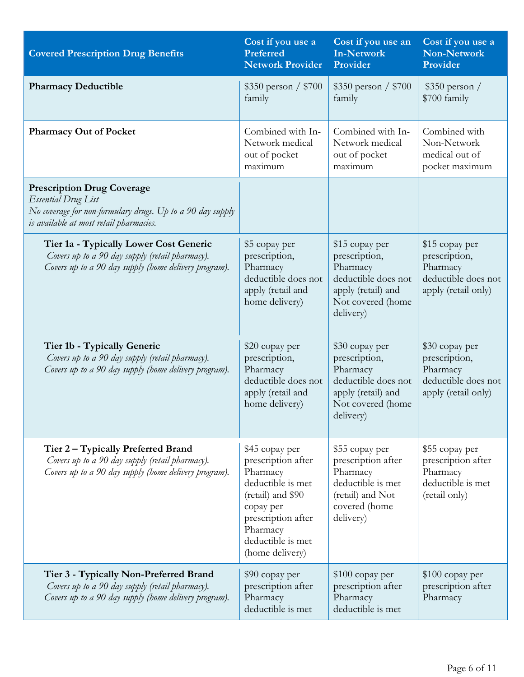| <b>Covered Prescription Drug Benefits</b>                                                                                                                                | Cost if you use a<br>Preferred<br><b>Network Provider</b>                                                                                                                         | Cost if you use an<br><b>In-Network</b><br>Provider                                                                        | Cost if you use a<br>Non-Network<br>Provider                                              |
|--------------------------------------------------------------------------------------------------------------------------------------------------------------------------|-----------------------------------------------------------------------------------------------------------------------------------------------------------------------------------|----------------------------------------------------------------------------------------------------------------------------|-------------------------------------------------------------------------------------------|
| <b>Pharmacy Deductible</b>                                                                                                                                               | $$350$ person / \$700<br>family                                                                                                                                                   | $$350$ person / \$700<br>family                                                                                            | $$350$ person /<br>\$700 family                                                           |
| <b>Pharmacy Out of Pocket</b>                                                                                                                                            | Combined with In-<br>Network medical<br>out of pocket<br>maximum                                                                                                                  | Combined with In-<br>Network medical<br>out of pocket<br>maximum                                                           | Combined with<br>Non-Network<br>medical out of<br>pocket maximum                          |
| <b>Prescription Drug Coverage</b><br><b>Essential Drug List</b><br>No coverage for non-formulary drugs. Up to a 90 day supply<br>is available at most retail pharmacies. |                                                                                                                                                                                   |                                                                                                                            |                                                                                           |
| Tier 1a - Typically Lower Cost Generic<br>Covers up to a 90 day supply (retail pharmacy).<br>Covers up to a 90 day supply (home delivery program).                       | \$5 copay per<br>prescription,<br>Pharmacy<br>deductible does not<br>apply (retail and<br>home delivery)                                                                          | \$15 copay per<br>prescription,<br>Pharmacy<br>deductible does not<br>apply (retail) and<br>Not covered (home<br>delivery) | \$15 copay per<br>prescription,<br>Pharmacy<br>deductible does not<br>apply (retail only) |
| Tier 1b - Typically Generic<br>Covers up to a 90 day supply (retail pharmacy).<br>Covers up to a 90 day supply (home delivery program).                                  | \$20 copay per<br>prescription,<br>Pharmacy<br>deductible does not<br>apply (retail and<br>home delivery)                                                                         | \$30 copay per<br>prescription,<br>Pharmacy<br>deductible does not<br>apply (retail) and<br>Not covered (home<br>delivery) | \$30 copay per<br>prescription,<br>Pharmacy<br>deductible does not<br>apply (retail only) |
| Tier 2 - Typically Preferred Brand<br>Covers up to a 90 day supply (retail pharmacy).<br>Covers up to a 90 day supply (home delivery program).                           | \$45 copay per<br>prescription after<br>Pharmacy<br>deductible is met<br>(retail) and \$90<br>copay per<br>prescription after<br>Pharmacy<br>deductible is met<br>(home delivery) | \$55 copay per<br>prescription after<br>Pharmacy<br>deductible is met<br>(retail) and Not<br>covered (home<br>delivery)    | \$55 copay per<br>prescription after<br>Pharmacy<br>deductible is met<br>(retail only)    |
| Tier 3 - Typically Non-Preferred Brand<br>Covers up to a 90 day supply (retail pharmacy).<br>Covers up to a 90 day supply (home delivery program).                       | \$90 copay per<br>prescription after<br>Pharmacy<br>deductible is met                                                                                                             | $$100$ copay per<br>prescription after<br>Pharmacy<br>deductible is met                                                    | $$100$ copay per<br>prescription after<br>Pharmacy                                        |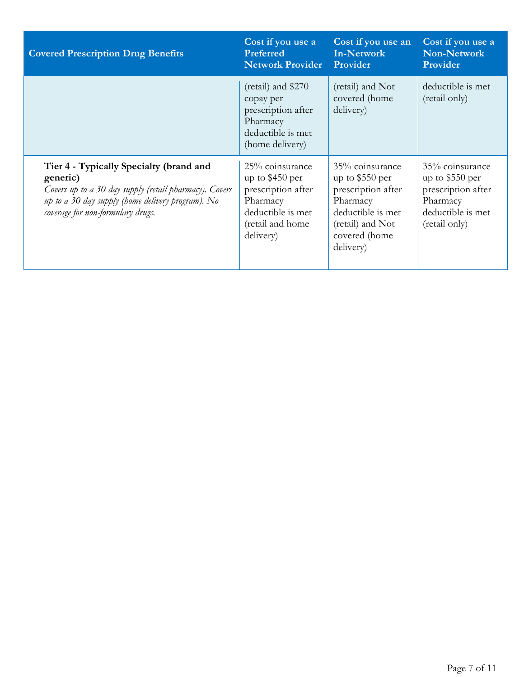| <b>Covered Prescription Drug Benefits</b>                                                                                                                                                               | Cost if you use a<br>Preferred<br><b>Network Provider</b>                                                                     | Cost if you use an<br><b>In-Network</b><br>Provider                                                                                          | Cost if you use a<br>Non-Network<br>Provider                                                                |
|---------------------------------------------------------------------------------------------------------------------------------------------------------------------------------------------------------|-------------------------------------------------------------------------------------------------------------------------------|----------------------------------------------------------------------------------------------------------------------------------------------|-------------------------------------------------------------------------------------------------------------|
|                                                                                                                                                                                                         | $(\text{retail})$ and \$270<br>copay per<br>prescription after<br>Pharmacy<br>deductible is met<br>(home delivery)            | (retail) and Not<br>covered (home<br>delivery)                                                                                               | deductible is met<br>(retail only)                                                                          |
| Tier 4 - Typically Specialty (brand and<br>generic)<br>Covers up to a 30 day supply (retail pharmacy). Covers<br>up to a 30 day supply (home delivery program). No<br>coverage for non-formulary drugs. | $25%$ coinsurance<br>up to $$450$ per<br>prescription after<br>Pharmacy<br>deductible is met<br>(retail and home<br>delivery) | 35% coinsurance<br>up to $$550$ per<br>prescription after<br>Pharmacy<br>deductible is met<br>(retail) and Not<br>covered (home<br>delivery) | 35% coinsurance<br>up to $$550$ per<br>prescription after<br>Pharmacy<br>deductible is met<br>(retail only) |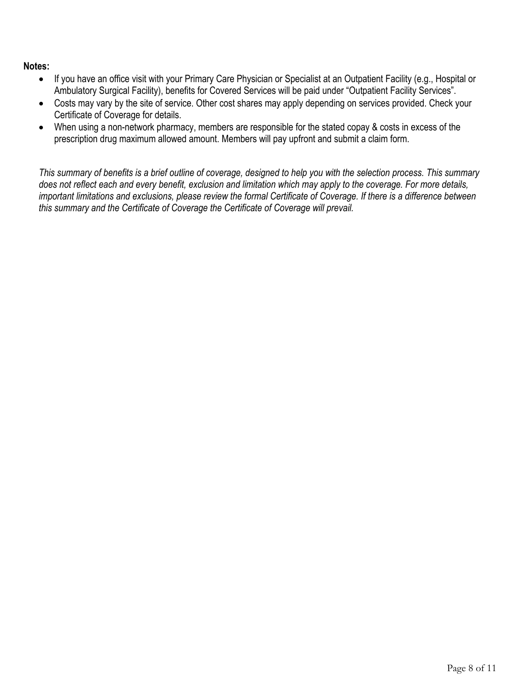### **Notes:**

- If you have an office visit with your Primary Care Physician or Specialist at an Outpatient Facility (e.g., Hospital or Ambulatory Surgical Facility), benefits for Covered Services will be paid under "Outpatient Facility Services".
- Costs may vary by the site of service. Other cost shares may apply depending on services provided. Check your Certificate of Coverage for details.
- When using a non-network pharmacy, members are responsible for the stated copay & costs in excess of the prescription drug maximum allowed amount. Members will pay upfront and submit a claim form.

*This summary of benefits is a brief outline of coverage, designed to help you with the selection process. This summary does not reflect each and every benefit, exclusion and limitation which may apply to the coverage. For more details, important limitations and exclusions, please review the formal Certificate of Coverage. If there is a difference between this summary and the Certificate of Coverage the Certificate of Coverage will prevail.*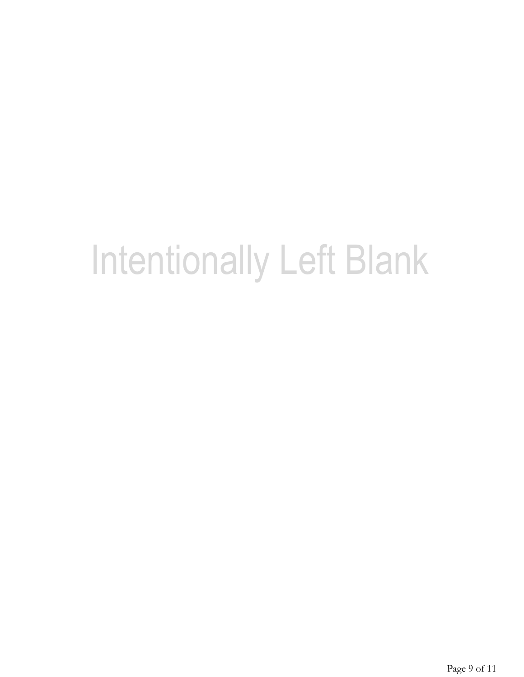# Intentionally Left Blank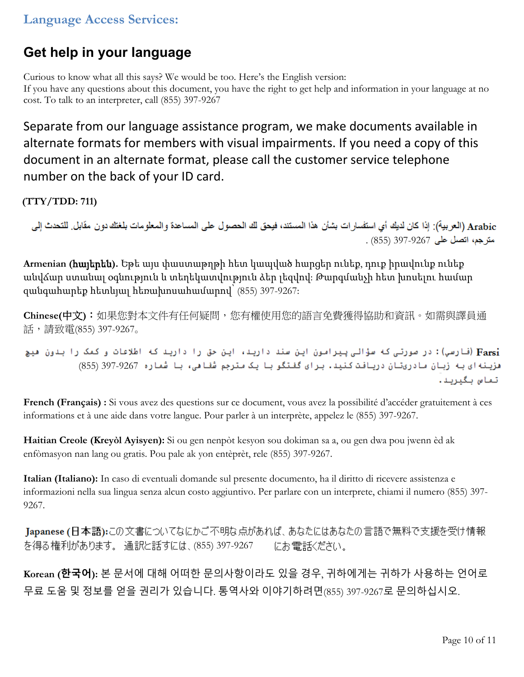### **Language Access Services:**

### **Get help in your language**

Curious to know what all this says? We would be too. Here's the English version: If you have any questions about this document, you have the right to get help and information in your language at no cost. To talk to an interpreter, call (855) 397-9267

Separate from our language assistance program, we make documents available in alternate formats for members with visual impairments. If you need a copy of this document in an alternate format, please call the customer service telephone number on the back of your ID card.

**(TTY/TDD: 711)**

Arabic (العربية): إذا كان لديك أي استفسارات بشأن هذا المستند، فيحق لك الحصول على المساعدة والمعلومات بلغتك دون مقابل. للتحدث إلى . (855) 397-9267

**Armenian (**հայերեն**).** Եթե այս փաստաթղթի հետ կապված հարցեր ունեք, դուք իրավունք ունեք անվճար ստանալ օգնություն և տեղեկատվություն ձեր լեզվով: Թարգմանչի հետ խոսելու համար զանգահարեք հետևյալ հեռախոսահամարով՝ (855) 397-9267:

**Chinese(**中文**)**:如果您對本文件有任何疑問,您有權使用您的語言免費獲得協助和資訊。如需與譯員通 話,請致電(855) 397-9267。

Farsi) (فارسي): در صورتی که سؤالی پیرامون این سند دارید، این حق را دارید که اطلاعات و کمک را بدون هیچ هزينه اي به زبان مادريتان دريافت كنيد. براي گفتگو با يک مترجم شُفاهي، با شُماره 267-397 (855) تماس بگيريد.

**French (Français) :** Si vous avez des questions sur ce document, vous avez la possibilité d'accéder gratuitement à ces informations et à une aide dans votre langue. Pour parler à un interprète, appelez le (855) 397-9267.

**Haitian Creole (Kreyòl Ayisyen):** Si ou gen nenpòt kesyon sou dokiman sa a, ou gen dwa pou jwenn èd ak enfòmasyon nan lang ou gratis. Pou pale ak yon entèprèt, rele (855) 397-9267.

**Italian (Italiano):** In caso di eventuali domande sul presente documento, ha il diritto di ricevere assistenza e informazioni nella sua lingua senza alcun costo aggiuntivo. Per parlare con un interprete, chiami il numero (855) 397- 9267.

Japanese (日本語):この文書についてなにかご不明な点があれば、あなたにはあなたの言語で無料で支援を受け情報 を得る権利があります。 通訳と話すには、(855) 397-9267 にお電話ください。

**Korean (한국어):** 본 문서에 대해 어떠한 문의사항이라도 있을 경우, 귀하에게는 귀하가 사용하는 언어로 무료 도움 및 정보를 얻을 권리가 있습니다. 통역사와 이야기하려면(855) 397-9267로 문의하십시오.